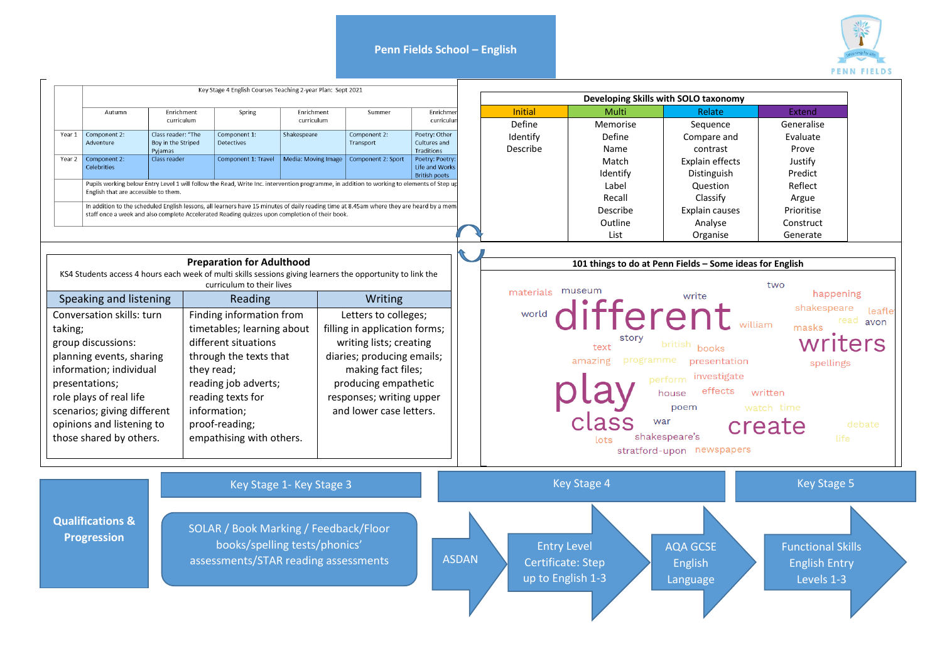## **Penn Fields School – English**